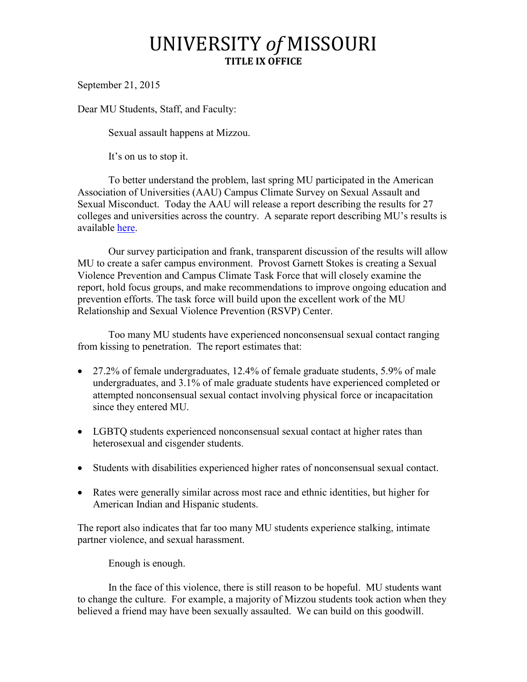## UNIVERSITY *of* MISSOURI **TITLE IX OFFICE**

September 21, 2015

Dear MU Students, Staff, and Faculty:

Sexual assault happens at Mizzou.

It's on us to stop it.

To better understand the problem, last spring MU participated in the American Association of Universities (AAU) Campus Climate Survey on Sexual Assault and Sexual Misconduct. Today the AAU will release a report describing the results for 27 colleges and universities across the country. A separate report describing MU's results is available [here.](http://title9.missouri.edu/about/aau-climate-survey.php)

Our survey participation and frank, transparent discussion of the results will allow MU to create a safer campus environment. Provost Garnett Stokes is creating a Sexual Violence Prevention and Campus Climate Task Force that will closely examine the report, hold focus groups, and make recommendations to improve ongoing education and prevention efforts. The task force will build upon the excellent work of the MU Relationship and Sexual Violence Prevention (RSVP) Center.

Too many MU students have experienced nonconsensual sexual contact ranging from kissing to penetration. The report estimates that:

- $\bullet$  27.2% of female undergraduates, 12.4% of female graduate students, 5.9% of male undergraduates, and 3.1% of male graduate students have experienced completed or attempted nonconsensual sexual contact involving physical force or incapacitation since they entered MU.
- LGBTO students experienced nonconsensual sexual contact at higher rates than heterosexual and cisgender students.
- Students with disabilities experienced higher rates of nonconsensual sexual contact.
- Rates were generally similar across most race and ethnic identities, but higher for American Indian and Hispanic students.

The report also indicates that far too many MU students experience stalking, intimate partner violence, and sexual harassment.

Enough is enough.

In the face of this violence, there is still reason to be hopeful. MU students want to change the culture. For example, a majority of Mizzou students took action when they believed a friend may have been sexually assaulted. We can build on this goodwill.